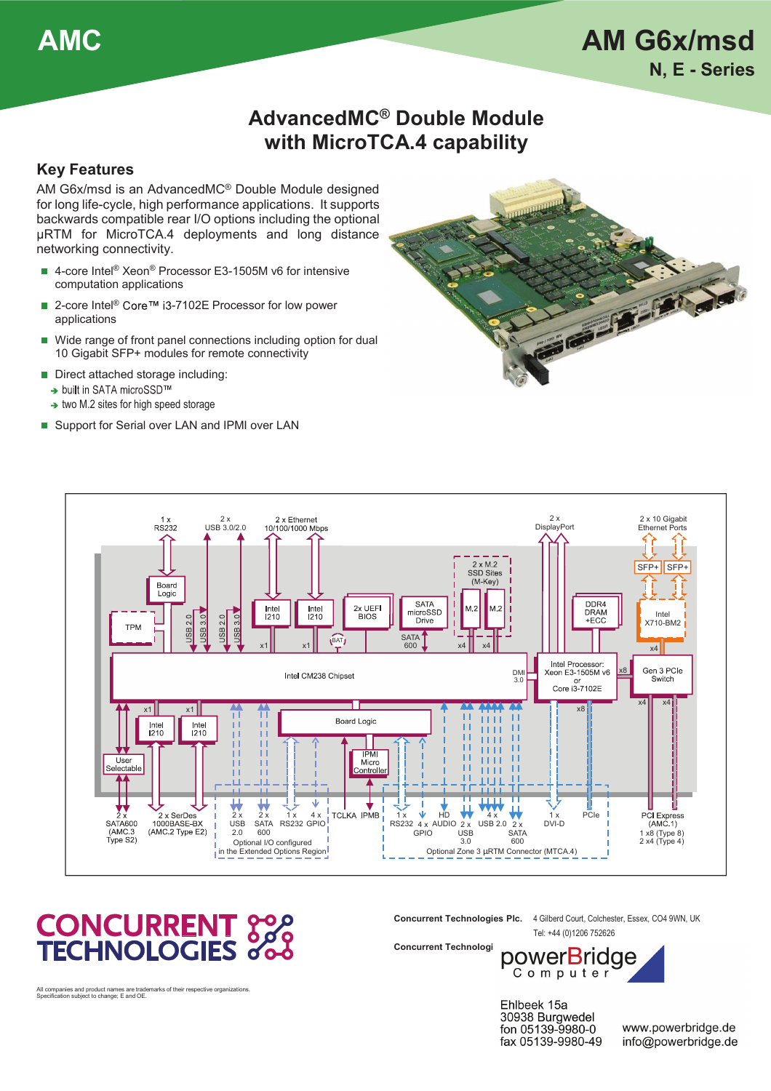**AdvancedMC® Double Module with MicroTCA.4 capability**

## **Key Features**

AM G6x/msd is an AdvancedMC® Double Module designed for long life-cycle, high performance applications. It supports backwards compatible rear I/O options including the optional µRTM for MicroTCA.4 deployments and long distance networking connectivity.

- 4-core Intel<sup>®</sup> Xeon<sup>®</sup> Processor E3-1505M v6 for intensive computation applications
- 2-core Intel<sup>®</sup> Core™ i3-7102E Processor for low power Ħ applications
- Wide range of front panel connections including option for dual 10 Gigabit SFP+ modules for remote connectivity
- Direct attached storage including:
- → built in SATA microSSD™
- $\rightarrow$  two M.2 sites for high speed storage
- Support for Serial over LAN and IPMI over LAN





# **CONCURRENT 828**<br>TECHNOLOGIES 80

All companies and product names are trademarks of their respective organizations. Specification subject to change; E and OE.

**Concurrent Technologies Plc.** 4 Gilberd Court, Colchester, Essex, CO4 9WN, UK

Tel: +44 (0)1206 752626

**Concurrent Technologi** 

powerBridae Computer

Ehlbeek 15a 30938 Burgwedel fon 05139-9980-0 fax 05139-9980-49

www.powerbridge.de info@powerbridge.de